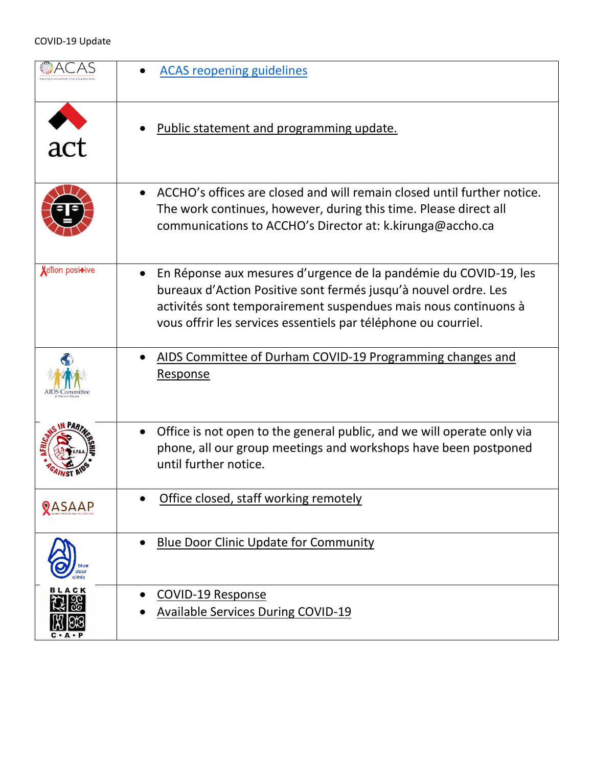|                         | <b>ACAS reopening guidelines</b>                                                                                                                                                                                                                                                      |
|-------------------------|---------------------------------------------------------------------------------------------------------------------------------------------------------------------------------------------------------------------------------------------------------------------------------------|
| act                     | Public statement and programming update.                                                                                                                                                                                                                                              |
|                         | ACCHO's offices are closed and will remain closed until further notice.<br>$\bullet$<br>The work continues, however, during this time. Please direct all<br>communications to ACCHO's Director at: k.kirunga@accho.ca                                                                 |
| <b>X</b> ction posi+ive | En Réponse aux mesures d'urgence de la pandémie du COVID-19, les<br>$\bullet$<br>bureaux d'Action Positive sont fermés jusqu'à nouvel ordre. Les<br>activités sont temporairement suspendues mais nous continuons à<br>vous offrir les services essentiels par téléphone ou courriel. |
|                         | AIDS Committee of Durham COVID-19 Programming changes and<br><b>Response</b>                                                                                                                                                                                                          |
|                         | Office is not open to the general public, and we will operate only via<br>phone, all our group meetings and workshops have been postponed<br>until further notice.                                                                                                                    |
| <b>QASAAP</b>           | Office closed, staff working remotely                                                                                                                                                                                                                                                 |
|                         | <b>Blue Door Clinic Update for Community</b>                                                                                                                                                                                                                                          |
| <b>BLACK</b><br>С・А・Р   | COVID-19 Response<br><b>Available Services During COVID-19</b>                                                                                                                                                                                                                        |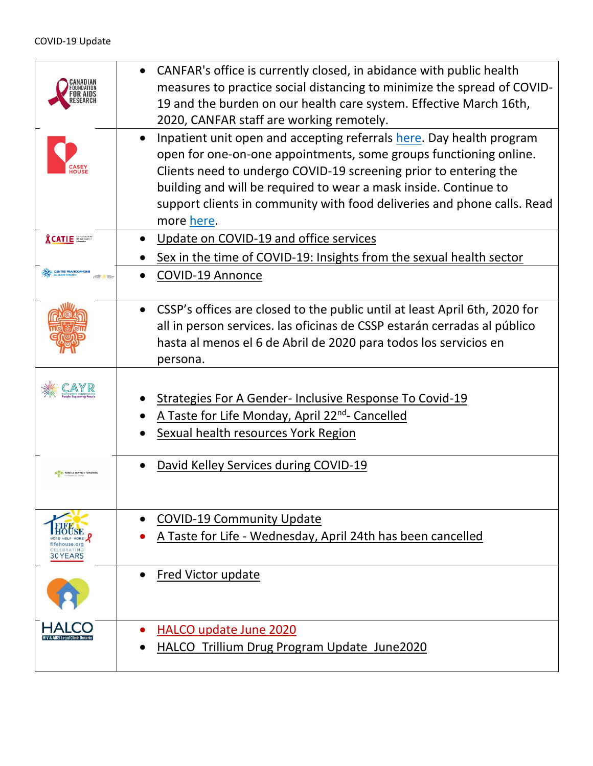|                                         | CANFAR's office is currently closed, in abidance with public health<br>measures to practice social distancing to minimize the spread of COVID-<br>19 and the burden on our health care system. Effective March 16th,<br>2020, CANFAR staff are working remotely.                                                                                                           |
|-----------------------------------------|----------------------------------------------------------------------------------------------------------------------------------------------------------------------------------------------------------------------------------------------------------------------------------------------------------------------------------------------------------------------------|
|                                         | Inpatient unit open and accepting referrals here. Day health program<br>open for one-on-one appointments, some groups functioning online.<br>Clients need to undergo COVID-19 screening prior to entering the<br>building and will be required to wear a mask inside. Continue to<br>support clients in community with food deliveries and phone calls. Read<br>more here. |
| <b>&amp;CATIE</b>                       | Update on COVID-19 and office services                                                                                                                                                                                                                                                                                                                                     |
|                                         | Sex in the time of COVID-19: Insights from the sexual health sector                                                                                                                                                                                                                                                                                                        |
| CENTRE FRANCOPHONE                      | <b>COVID-19 Annonce</b>                                                                                                                                                                                                                                                                                                                                                    |
|                                         | CSSP's offices are closed to the public until at least April 6th, 2020 for<br>all in person services. las oficinas de CSSP estarán cerradas al público<br>hasta al menos el 6 de Abril de 2020 para todos los servicios en<br>persona.                                                                                                                                     |
|                                         | <b>Strategies For A Gender- Inclusive Response To Covid-19</b><br>A Taste for Life Monday, April 22 <sup>nd</sup> - Cancelled<br><b>Sexual health resources York Region</b>                                                                                                                                                                                                |
| <b>FAMILY SERVICE TORON</b>             | David Kelley Services during COVID-19                                                                                                                                                                                                                                                                                                                                      |
| fifehouse.org<br>CELEBRATING<br>30YEARS | <b>COVID-19 Community Update</b><br>A Taste for Life - Wednesday, April 24th has been cancelled                                                                                                                                                                                                                                                                            |
|                                         | Fred Victor update                                                                                                                                                                                                                                                                                                                                                         |
|                                         | HALCO update June 2020<br>HALCO Trillium Drug Program Update June2020                                                                                                                                                                                                                                                                                                      |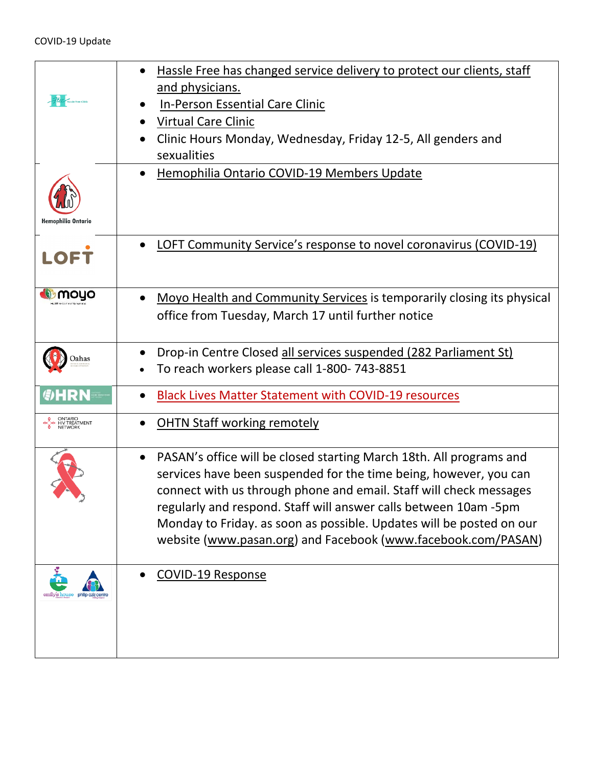| PER Massle Free Clinic                  | Hassle Free has changed service delivery to protect our clients, staff<br>and physicians.<br><b>In-Person Essential Care Clinic</b><br>Virtual Care Clinic<br>Clinic Hours Monday, Wednesday, Friday 12-5, All genders and<br>sexualities                                                                                                                                                                                   |
|-----------------------------------------|-----------------------------------------------------------------------------------------------------------------------------------------------------------------------------------------------------------------------------------------------------------------------------------------------------------------------------------------------------------------------------------------------------------------------------|
| Hemophilia Ontario                      | Hemophilia Ontario COVID-19 Members Update                                                                                                                                                                                                                                                                                                                                                                                  |
| <b>LOFT</b>                             | <b>LOFT Community Service's response to novel coronavirus (COVID-19)</b><br>$\bullet$                                                                                                                                                                                                                                                                                                                                       |
| moyo                                    | Moyo Health and Community Services is temporarily closing its physical<br>$\bullet$<br>office from Tuesday, March 17 until further notice                                                                                                                                                                                                                                                                                   |
| Jahas                                   | Drop-in Centre Closed all services suspended (282 Parliament St)<br>To reach workers please call 1-800-743-8851                                                                                                                                                                                                                                                                                                             |
| <b>G</b> HRN                            | <b>Black Lives Matter Statement with COVID-19 resources</b>                                                                                                                                                                                                                                                                                                                                                                 |
| O ONTARIO<br>HIV TREATMENT<br>O NETWORK | <b>OHTN Staff working remotely</b>                                                                                                                                                                                                                                                                                                                                                                                          |
|                                         | PASAN's office will be closed starting March 18th. All programs and<br>services have been suspended for the time being, however, you can<br>connect with us through phone and email. Staff will check messages<br>regularly and respond. Staff will answer calls between 10am -5pm<br>Monday to Friday. as soon as possible. Updates will be posted on our<br>website (www.pasan.org) and Facebook (www.facebook.com/PASAN) |
|                                         | <b>COVID-19 Response</b>                                                                                                                                                                                                                                                                                                                                                                                                    |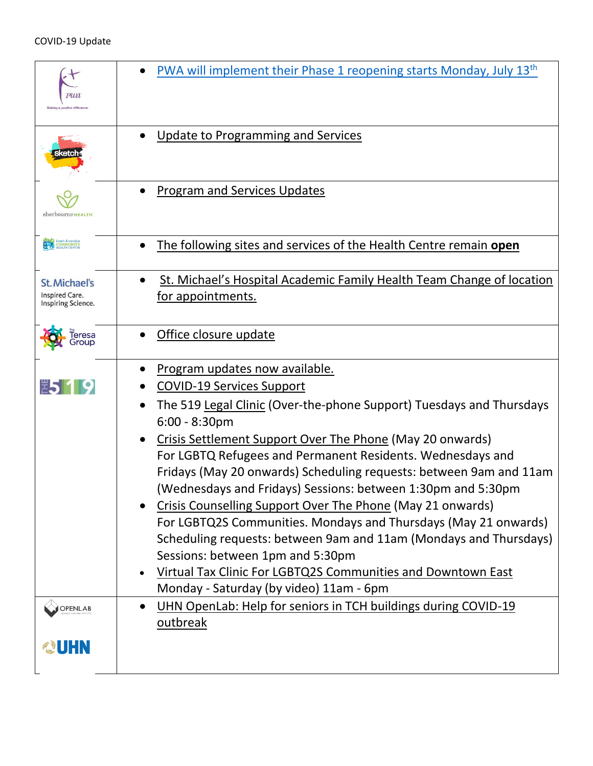|                                                       | <b>PWA will implement their Phase 1 reopening starts Monday, July 13th</b>                                                                                                                                                                                                                                                                                                                                                                                                                                                                                                                                                                                                                                                                                                                                     |
|-------------------------------------------------------|----------------------------------------------------------------------------------------------------------------------------------------------------------------------------------------------------------------------------------------------------------------------------------------------------------------------------------------------------------------------------------------------------------------------------------------------------------------------------------------------------------------------------------------------------------------------------------------------------------------------------------------------------------------------------------------------------------------------------------------------------------------------------------------------------------------|
|                                                       | <b>Update to Programming and Services</b>                                                                                                                                                                                                                                                                                                                                                                                                                                                                                                                                                                                                                                                                                                                                                                      |
| sherbourne не агтн                                    | <b>Program and Services Updates</b>                                                                                                                                                                                                                                                                                                                                                                                                                                                                                                                                                                                                                                                                                                                                                                            |
| South Riverdale                                       | The following sites and services of the Health Centre remain open<br>$\bullet$                                                                                                                                                                                                                                                                                                                                                                                                                                                                                                                                                                                                                                                                                                                                 |
| St. Michael's<br>Inspired Care.<br>Inspiring Science. | St. Michael's Hospital Academic Family Health Team Change of location<br>for appointments.                                                                                                                                                                                                                                                                                                                                                                                                                                                                                                                                                                                                                                                                                                                     |
| eresa<br>iroup                                        | Office closure update                                                                                                                                                                                                                                                                                                                                                                                                                                                                                                                                                                                                                                                                                                                                                                                          |
| 第519                                                  | Program updates now available.<br><b>COVID-19 Services Support</b><br>The 519 Legal Clinic (Over-the-phone Support) Tuesdays and Thursdays<br>$6:00 - 8:30$ pm<br>Crisis Settlement Support Over The Phone (May 20 onwards)<br>$\bullet$<br>For LGBTQ Refugees and Permanent Residents. Wednesdays and<br>Fridays (May 20 onwards) Scheduling requests: between 9am and 11am<br>(Wednesdays and Fridays) Sessions: between 1:30pm and 5:30pm<br>Crisis Counselling Support Over The Phone (May 21 onwards)<br>For LGBTQ2S Communities. Mondays and Thursdays (May 21 onwards)<br>Scheduling requests: between 9am and 11am (Mondays and Thursdays)<br>Sessions: between 1pm and 5:30pm<br>Virtual Tax Clinic For LGBTQ2S Communities and Downtown East<br>$\bullet$<br>Monday - Saturday (by video) 11am - 6pm |
| OPENLAB                                               | UHN OpenLab: Help for seniors in TCH buildings during COVID-19<br>outbreak                                                                                                                                                                                                                                                                                                                                                                                                                                                                                                                                                                                                                                                                                                                                     |
| <b>QUHN</b>                                           |                                                                                                                                                                                                                                                                                                                                                                                                                                                                                                                                                                                                                                                                                                                                                                                                                |